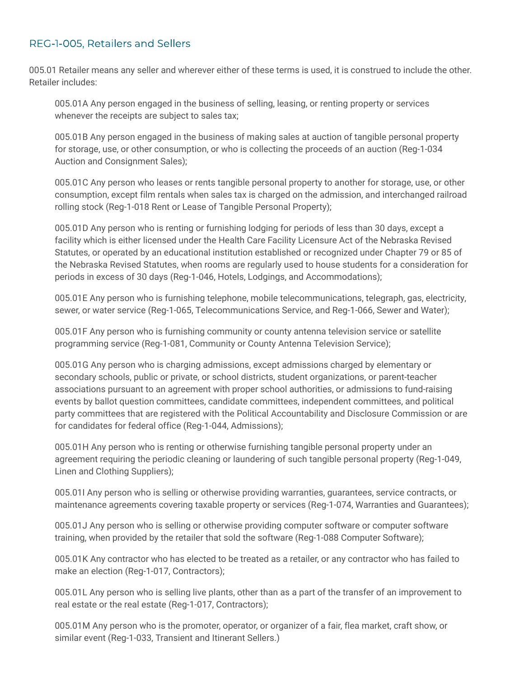## REG-1-005, Retailers and Sellers

005.01 Retailer means any seller and wherever either of these terms is used, it is construed to include the other. Retailer includes:

005.01A Any person engaged in the business of selling, leasing, or renting property or services whenever the receipts are subject to sales tax;

005.01B Any person engaged in the business of making sales at auction of tangible personal property for storage, use, or other consumption, or who is collecting the proceeds of an auction (Reg-1-034 Auction and Consignment Sales);

005.01C Any person who leases or rents tangible personal property to another for storage, use, or other consumption, except film rentals when sales tax is charged on the admission, and interchanged railroad rolling stock (Reg-1-018 Rent or Lease of Tangible Personal Property);

005.01D Any person who is renting or furnishing lodging for periods of less than 30 days, except a facility which is either licensed under the Health Care Facility Licensure Act of the Nebraska Revised Statutes, or operated by an educational institution established or recognized under Chapter 79 or 85 of the Nebraska Revised Statutes, when rooms are regularly used to house students for a consideration for periods in excess of 30 days (Reg-1-046, Hotels, Lodgings, and Accommodations);

005.01E Any person who is furnishing telephone, mobile telecommunications, telegraph, gas, electricity, sewer, or water service (Reg-1-065, Telecommunications Service, and Reg-1-066, Sewer and Water);

005.01F Any person who is furnishing community or county antenna television service or satellite programming service (Reg-1-081, Community or County Antenna Television Service);

005.01G Any person who is charging admissions, except admissions charged by elementary or secondary schools, public or private, or school districts, student organizations, or parent-teacher associations pursuant to an agreement with proper school authorities, or admissions to fund-raising events by ballot question committees, candidate committees, independent committees, and political party committees that are registered with the Political Accountability and Disclosure Commission or are for candidates for federal office (Reg-1-044, Admissions);

005.01H Any person who is renting or otherwise furnishing tangible personal property under an agreement requiring the periodic cleaning or laundering of such tangible personal property (Reg-1-049, Linen and Clothing Suppliers);

005.01I Any person who is selling or otherwise providing warranties, guarantees, service contracts, or maintenance agreements covering taxable property or services (Reg-1-074, Warranties and Guarantees);

005.01J Any person who is selling or otherwise providing computer software or computer software training, when provided by the retailer that sold the software (Reg-1-088 Computer Software);

005.01K Any contractor who has elected to be treated as a retailer, or any contractor who has failed to make an election (Reg-1-017, Contractors);

005.01L Any person who is selling live plants, other than as a part of the transfer of an improvement to real estate or the real estate (Reg-1-017, Contractors);

005.01M Any person who is the promoter, operator, or organizer of a fair, flea market, craft show, or similar event (Reg-1-033, Transient and Itinerant Sellers.)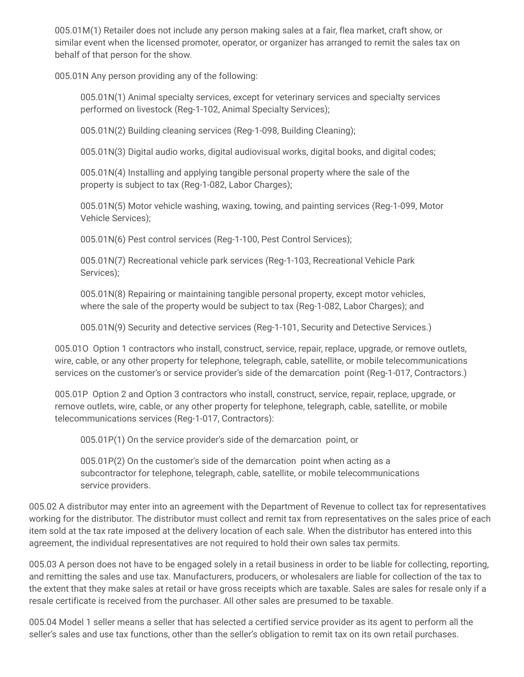005.01M(1) Retailer does not include any person making sales at a fair, flea market, craft show, or similar event when the licensed promoter, operator, or organizer has arranged to remit the sales tax on behalf of that person for the show.

005.01N Any person providing any of the following:

005.01N(1) Animal specialty services, except for veterinary services and specialty services performed on livestock (Reg-1-102, Animal Specialty Services);

005.01N(2) Building cleaning services (Reg-1-098, Building Cleaning);

005.01N(3) Digital audio works, digital audiovisual works, digital books, and digital codes;

005.01N(4) Installing and applying tangible personal property where the sale of the property is subject to tax (Reg-1-082, Labor Charges);

005.01N(5) Motor vehicle washing, waxing, towing, and painting services (Reg-1-099, Motor Vehicle Services);

005.01N(6) Pest control services (Reg-1-100, Pest Control Services);

005.01N(7) Recreational vehicle park services (Reg-1-103, Recreational Vehicle Park Services);

005.01N(8) Repairing or maintaining tangible personal property, except motor vehicles, where the sale of the property would be subject to tax (Reg-1-082, Labor Charges); and

005.01N(9) Security and detective services (Reg-1-101, Security and Detective Services.)

005.01O Option 1 contractors who install, construct, service, repair, replace, upgrade, or remove outlets, wire, cable, or any other property for telephone, telegraph, cable, satellite, or mobile telecommunications services on the customer's or service provider's side of the demarcation point (Reg-1-017, Contractors.)

005.01P Option 2 and Option 3 contractors who install, construct, service, repair, replace, upgrade, or remove outlets, wire, cable, or any other property for telephone, telegraph, cable, satellite, or mobile telecommunications services (Reg-1-017, Contractors):

005.01P(1) On the service provider's side of the demarcation point, or

005.01P(2) On the customer's side of the demarcation point when acting as a subcontractor for telephone, telegraph, cable, satellite, or mobile telecommunications service providers.

005.02 A distributor may enter into an agreement with the Department of Revenue to collect tax for representatives working for the distributor. The distributor must collect and remit tax from representatives on the sales price of each item sold at the tax rate imposed at the delivery location of each sale. When the distributor has entered into this agreement, the individual representatives are not required to hold their own sales tax permits.

005.03 A person does not have to be engaged solely in a retail business in order to be liable for collecting, reporting, and remitting the sales and use tax. Manufacturers, producers, or wholesalers are liable for collection of the tax to the extent that they make sales at retail or have gross receipts which are taxable. Sales are sales for resale only if a resale certificate is received from the purchaser. All other sales are presumed to be taxable.

005.04 Model 1 seller means a seller that has selected a certified service provider as its agent to perform all the seller's sales and use tax functions, other than the seller's obligation to remit tax on its own retail purchases.